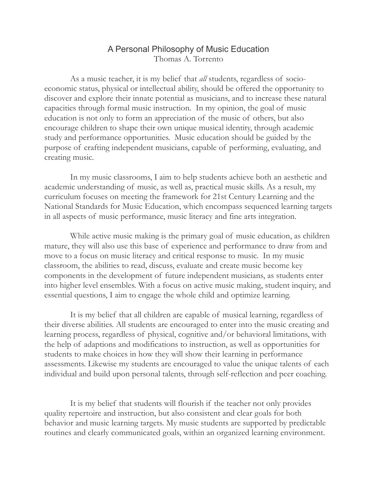## A Personal Philosophy of Music Education Thomas A. Torrento

 As a music teacher, it is my belief that *all* students, regardless of socioeconomic status, physical or intellectual ability, should be offered the opportunity to discover and explore their innate potential as musicians, and to increase these natural capacities through formal music instruction. In my opinion, the goal of music education is not only to form an appreciation of the music of others, but also encourage children to shape their own unique musical identity, through academic study and performance opportunities. Music education should be guided by the purpose of crafting independent musicians, capable of performing, evaluating, and creating music.

 In my music classrooms, I aim to help students achieve both an aesthetic and academic understanding of music, as well as, practical music skills. As a result, my curriculum focuses on meeting the framework for 21st Century Learning and the National Standards for Music Education, which encompass sequenced learning targets in all aspects of music performance, music literacy and fine arts integration.

 While active music making is the primary goal of music education, as children mature, they will also use this base of experience and performance to draw from and move to a focus on music literacy and critical response to music. In my music classroom, the abilities to read, discuss, evaluate and create music become key components in the development of future independent musicians, as students enter into higher level ensembles. With a focus on active music making, student inquiry, and essential questions, I aim to engage the whole child and optimize learning.

 It is my belief that all children are capable of musical learning, regardless of their diverse abilities. All students are encouraged to enter into the music creating and learning process, regardless of physical, cognitive and/or behavioral limitations, with the help of adaptions and modifications to instruction, as well as opportunities for students to make choices in how they will show their learning in performance assessments. Likewise my students are encouraged to value the unique talents of each individual and build upon personal talents, through self-reflection and peer coaching.

 It is my belief that students will flourish if the teacher not only provides quality repertoire and instruction, but also consistent and clear goals for both behavior and music learning targets. My music students are supported by predictable routines and clearly communicated goals, within an organized learning environment.